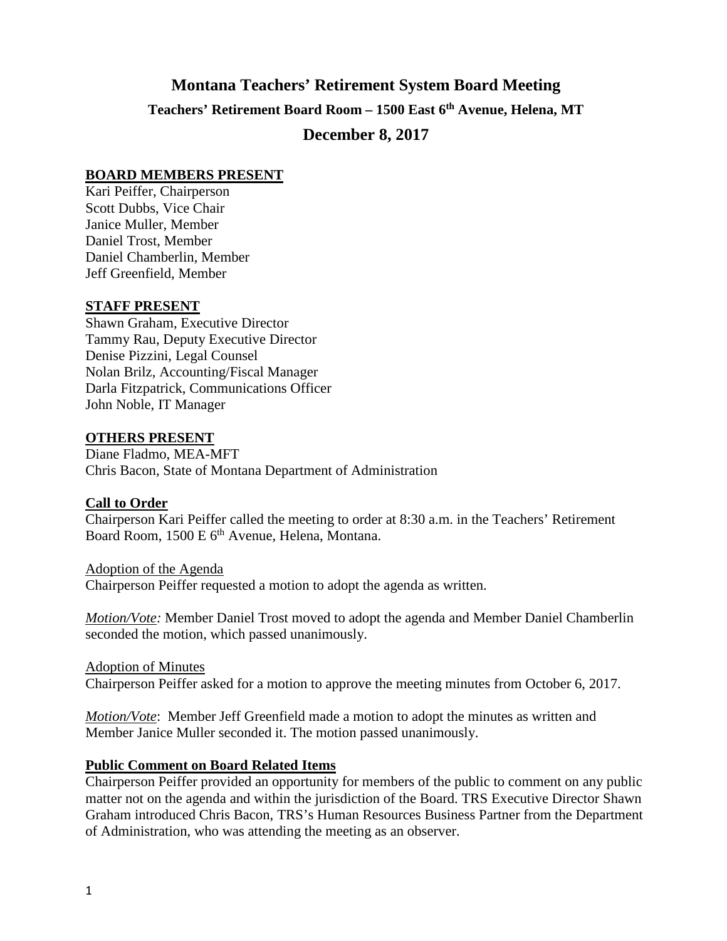# **Montana Teachers' Retirement System Board Meeting Teachers' Retirement Board Room – 1500 East 6th Avenue, Helena, MT December 8, 2017**

## **BOARD MEMBERS PRESENT**

Kari Peiffer, Chairperson Scott Dubbs, Vice Chair Janice Muller, Member Daniel Trost, Member Daniel Chamberlin, Member Jeff Greenfield, Member

## **STAFF PRESENT**

Shawn Graham, Executive Director Tammy Rau, Deputy Executive Director Denise Pizzini, Legal Counsel Nolan Brilz, Accounting/Fiscal Manager Darla Fitzpatrick, Communications Officer John Noble, IT Manager

## **OTHERS PRESENT**

Diane Fladmo, MEA-MFT Chris Bacon, State of Montana Department of Administration

## **Call to Order**

Chairperson Kari Peiffer called the meeting to order at 8:30 a.m. in the Teachers' Retirement Board Room, 1500 E 6<sup>th</sup> Avenue, Helena, Montana.

Adoption of the Agenda Chairperson Peiffer requested a motion to adopt the agenda as written.

*Motion/Vote:* Member Daniel Trost moved to adopt the agenda and Member Daniel Chamberlin seconded the motion, which passed unanimously.

Adoption of Minutes Chairperson Peiffer asked for a motion to approve the meeting minutes from October 6, 2017.

*Motion/Vote*: Member Jeff Greenfield made a motion to adopt the minutes as written and Member Janice Muller seconded it. The motion passed unanimously.

## **Public Comment on Board Related Items**

Chairperson Peiffer provided an opportunity for members of the public to comment on any public matter not on the agenda and within the jurisdiction of the Board. TRS Executive Director Shawn Graham introduced Chris Bacon, TRS's Human Resources Business Partner from the Department of Administration, who was attending the meeting as an observer.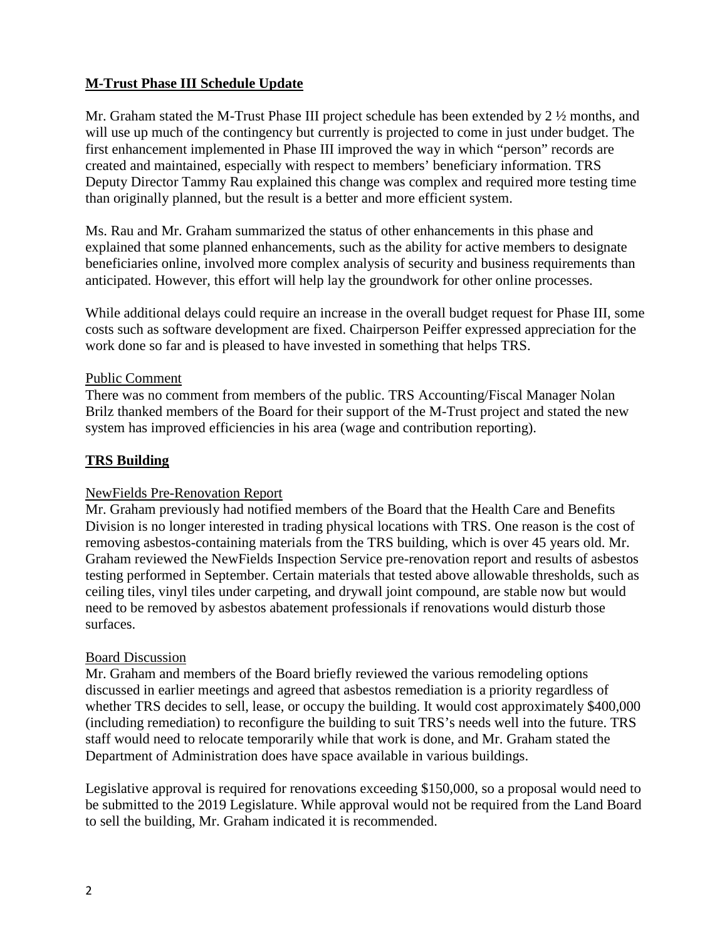# **M-Trust Phase III Schedule Update**

Mr. Graham stated the M-Trust Phase III project schedule has been extended by 2 ½ months, and will use up much of the contingency but currently is projected to come in just under budget. The first enhancement implemented in Phase III improved the way in which "person" records are created and maintained, especially with respect to members' beneficiary information. TRS Deputy Director Tammy Rau explained this change was complex and required more testing time than originally planned, but the result is a better and more efficient system.

Ms. Rau and Mr. Graham summarized the status of other enhancements in this phase and explained that some planned enhancements, such as the ability for active members to designate beneficiaries online, involved more complex analysis of security and business requirements than anticipated. However, this effort will help lay the groundwork for other online processes.

While additional delays could require an increase in the overall budget request for Phase III, some costs such as software development are fixed. Chairperson Peiffer expressed appreciation for the work done so far and is pleased to have invested in something that helps TRS.

## Public Comment

There was no comment from members of the public. TRS Accounting/Fiscal Manager Nolan Brilz thanked members of the Board for their support of the M-Trust project and stated the new system has improved efficiencies in his area (wage and contribution reporting).

# **TRS Building**

# NewFields Pre-Renovation Report

Mr. Graham previously had notified members of the Board that the Health Care and Benefits Division is no longer interested in trading physical locations with TRS. One reason is the cost of removing asbestos-containing materials from the TRS building, which is over 45 years old. Mr. Graham reviewed the NewFields Inspection Service pre-renovation report and results of asbestos testing performed in September. Certain materials that tested above allowable thresholds, such as ceiling tiles, vinyl tiles under carpeting, and drywall joint compound, are stable now but would need to be removed by asbestos abatement professionals if renovations would disturb those surfaces.

## Board Discussion

Mr. Graham and members of the Board briefly reviewed the various remodeling options discussed in earlier meetings and agreed that asbestos remediation is a priority regardless of whether TRS decides to sell, lease, or occupy the building. It would cost approximately \$400,000 (including remediation) to reconfigure the building to suit TRS's needs well into the future. TRS staff would need to relocate temporarily while that work is done, and Mr. Graham stated the Department of Administration does have space available in various buildings.

Legislative approval is required for renovations exceeding \$150,000, so a proposal would need to be submitted to the 2019 Legislature. While approval would not be required from the Land Board to sell the building, Mr. Graham indicated it is recommended.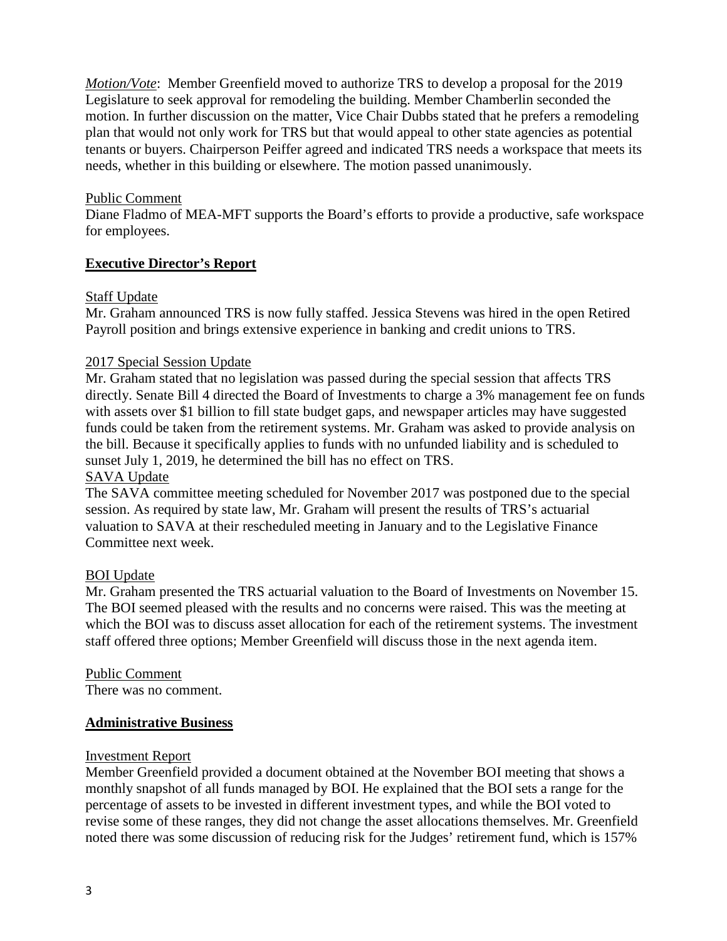*Motion/Vote*: Member Greenfield moved to authorize TRS to develop a proposal for the 2019 Legislature to seek approval for remodeling the building. Member Chamberlin seconded the motion. In further discussion on the matter, Vice Chair Dubbs stated that he prefers a remodeling plan that would not only work for TRS but that would appeal to other state agencies as potential tenants or buyers. Chairperson Peiffer agreed and indicated TRS needs a workspace that meets its needs, whether in this building or elsewhere. The motion passed unanimously.

## Public Comment

Diane Fladmo of MEA-MFT supports the Board's efforts to provide a productive, safe workspace for employees.

## **Executive Director's Report**

## Staff Update

Mr. Graham announced TRS is now fully staffed. Jessica Stevens was hired in the open Retired Payroll position and brings extensive experience in banking and credit unions to TRS.

## 2017 Special Session Update

Mr. Graham stated that no legislation was passed during the special session that affects TRS directly. Senate Bill 4 directed the Board of Investments to charge a 3% management fee on funds with assets over \$1 billion to fill state budget gaps, and newspaper articles may have suggested funds could be taken from the retirement systems. Mr. Graham was asked to provide analysis on the bill. Because it specifically applies to funds with no unfunded liability and is scheduled to sunset July 1, 2019, he determined the bill has no effect on TRS.

## SAVA Update

The SAVA committee meeting scheduled for November 2017 was postponed due to the special session. As required by state law, Mr. Graham will present the results of TRS's actuarial valuation to SAVA at their rescheduled meeting in January and to the Legislative Finance Committee next week.

#### BOI Update

Mr. Graham presented the TRS actuarial valuation to the Board of Investments on November 15. The BOI seemed pleased with the results and no concerns were raised. This was the meeting at which the BOI was to discuss asset allocation for each of the retirement systems. The investment staff offered three options; Member Greenfield will discuss those in the next agenda item.

#### Public Comment There was no comment.

#### **Administrative Business**

#### Investment Report

Member Greenfield provided a document obtained at the November BOI meeting that shows a monthly snapshot of all funds managed by BOI. He explained that the BOI sets a range for the percentage of assets to be invested in different investment types, and while the BOI voted to revise some of these ranges, they did not change the asset allocations themselves. Mr. Greenfield noted there was some discussion of reducing risk for the Judges' retirement fund, which is 157%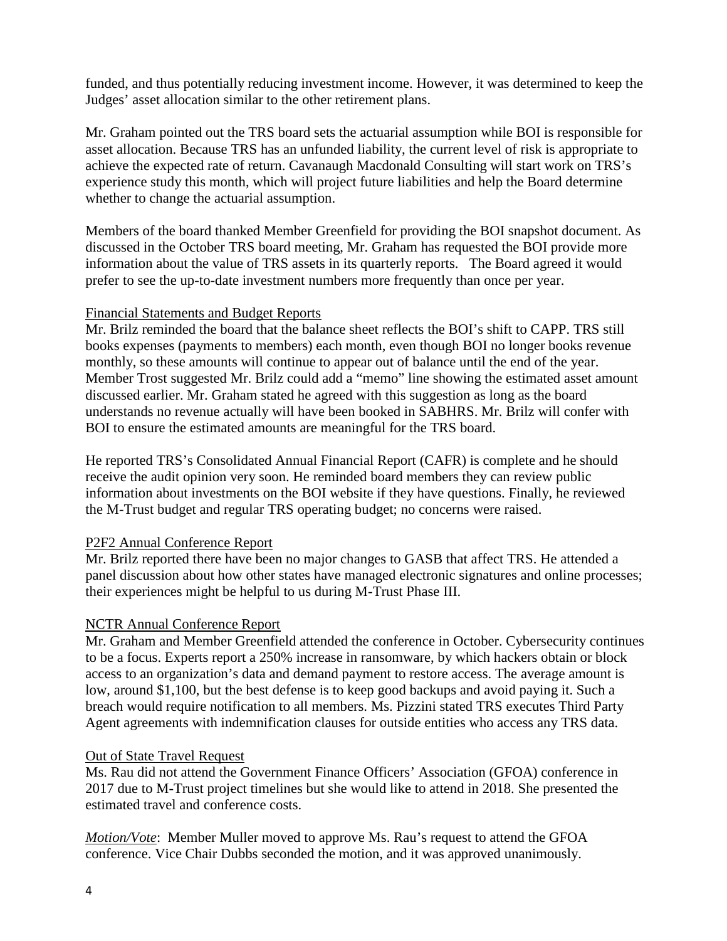funded, and thus potentially reducing investment income. However, it was determined to keep the Judges' asset allocation similar to the other retirement plans.

Mr. Graham pointed out the TRS board sets the actuarial assumption while BOI is responsible for asset allocation. Because TRS has an unfunded liability, the current level of risk is appropriate to achieve the expected rate of return. Cavanaugh Macdonald Consulting will start work on TRS's experience study this month, which will project future liabilities and help the Board determine whether to change the actuarial assumption.

Members of the board thanked Member Greenfield for providing the BOI snapshot document. As discussed in the October TRS board meeting, Mr. Graham has requested the BOI provide more information about the value of TRS assets in its quarterly reports. The Board agreed it would prefer to see the up-to-date investment numbers more frequently than once per year.

## Financial Statements and Budget Reports

Mr. Brilz reminded the board that the balance sheet reflects the BOI's shift to CAPP. TRS still books expenses (payments to members) each month, even though BOI no longer books revenue monthly, so these amounts will continue to appear out of balance until the end of the year. Member Trost suggested Mr. Brilz could add a "memo" line showing the estimated asset amount discussed earlier. Mr. Graham stated he agreed with this suggestion as long as the board understands no revenue actually will have been booked in SABHRS. Mr. Brilz will confer with BOI to ensure the estimated amounts are meaningful for the TRS board.

He reported TRS's Consolidated Annual Financial Report (CAFR) is complete and he should receive the audit opinion very soon. He reminded board members they can review public information about investments on the BOI website if they have questions. Finally, he reviewed the M-Trust budget and regular TRS operating budget; no concerns were raised.

# P2F2 Annual Conference Report

Mr. Brilz reported there have been no major changes to GASB that affect TRS. He attended a panel discussion about how other states have managed electronic signatures and online processes; their experiences might be helpful to us during M-Trust Phase III.

## NCTR Annual Conference Report

Mr. Graham and Member Greenfield attended the conference in October. Cybersecurity continues to be a focus. Experts report a 250% increase in ransomware, by which hackers obtain or block access to an organization's data and demand payment to restore access. The average amount is low, around \$1,100, but the best defense is to keep good backups and avoid paying it. Such a breach would require notification to all members. Ms. Pizzini stated TRS executes Third Party Agent agreements with indemnification clauses for outside entities who access any TRS data.

## Out of State Travel Request

Ms. Rau did not attend the Government Finance Officers' Association (GFOA) conference in 2017 due to M-Trust project timelines but she would like to attend in 2018. She presented the estimated travel and conference costs.

*Motion/Vote*: Member Muller moved to approve Ms. Rau's request to attend the GFOA conference. Vice Chair Dubbs seconded the motion, and it was approved unanimously.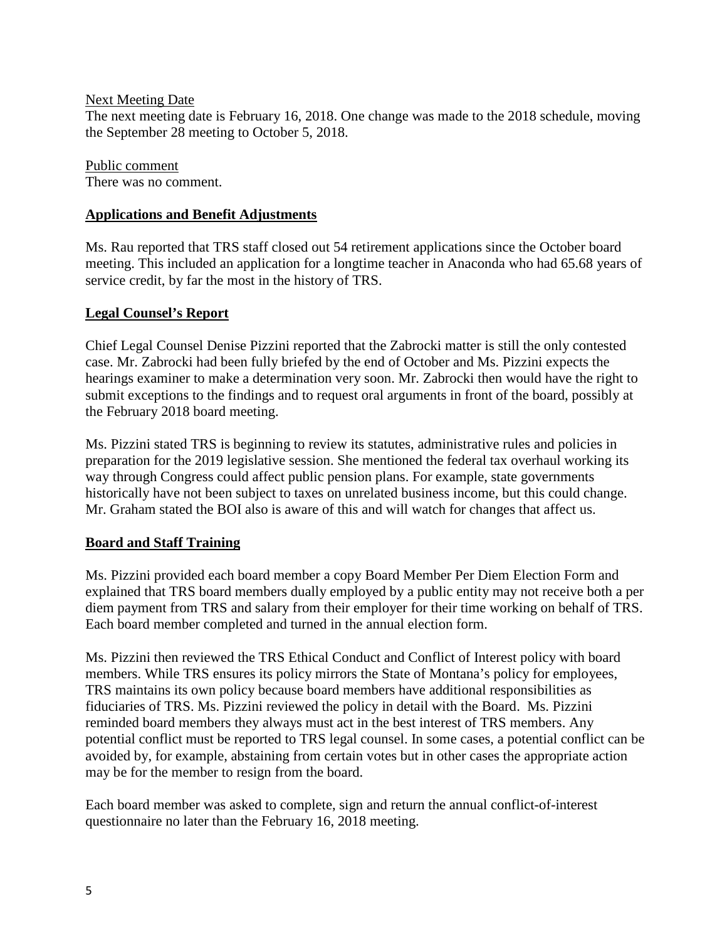## Next Meeting Date

The next meeting date is February 16, 2018. One change was made to the 2018 schedule, moving the September 28 meeting to October 5, 2018.

Public comment There was no comment.

## **Applications and Benefit Adjustments**

Ms. Rau reported that TRS staff closed out 54 retirement applications since the October board meeting. This included an application for a longtime teacher in Anaconda who had 65.68 years of service credit, by far the most in the history of TRS.

## **Legal Counsel's Report**

Chief Legal Counsel Denise Pizzini reported that the Zabrocki matter is still the only contested case. Mr. Zabrocki had been fully briefed by the end of October and Ms. Pizzini expects the hearings examiner to make a determination very soon. Mr. Zabrocki then would have the right to submit exceptions to the findings and to request oral arguments in front of the board, possibly at the February 2018 board meeting.

Ms. Pizzini stated TRS is beginning to review its statutes, administrative rules and policies in preparation for the 2019 legislative session. She mentioned the federal tax overhaul working its way through Congress could affect public pension plans. For example, state governments historically have not been subject to taxes on unrelated business income, but this could change. Mr. Graham stated the BOI also is aware of this and will watch for changes that affect us.

# **Board and Staff Training**

Ms. Pizzini provided each board member a copy Board Member Per Diem Election Form and explained that TRS board members dually employed by a public entity may not receive both a per diem payment from TRS and salary from their employer for their time working on behalf of TRS. Each board member completed and turned in the annual election form.

Ms. Pizzini then reviewed the TRS Ethical Conduct and Conflict of Interest policy with board members. While TRS ensures its policy mirrors the State of Montana's policy for employees, TRS maintains its own policy because board members have additional responsibilities as fiduciaries of TRS. Ms. Pizzini reviewed the policy in detail with the Board. Ms. Pizzini reminded board members they always must act in the best interest of TRS members. Any potential conflict must be reported to TRS legal counsel. In some cases, a potential conflict can be avoided by, for example, abstaining from certain votes but in other cases the appropriate action may be for the member to resign from the board.

Each board member was asked to complete, sign and return the annual conflict-of-interest questionnaire no later than the February 16, 2018 meeting.